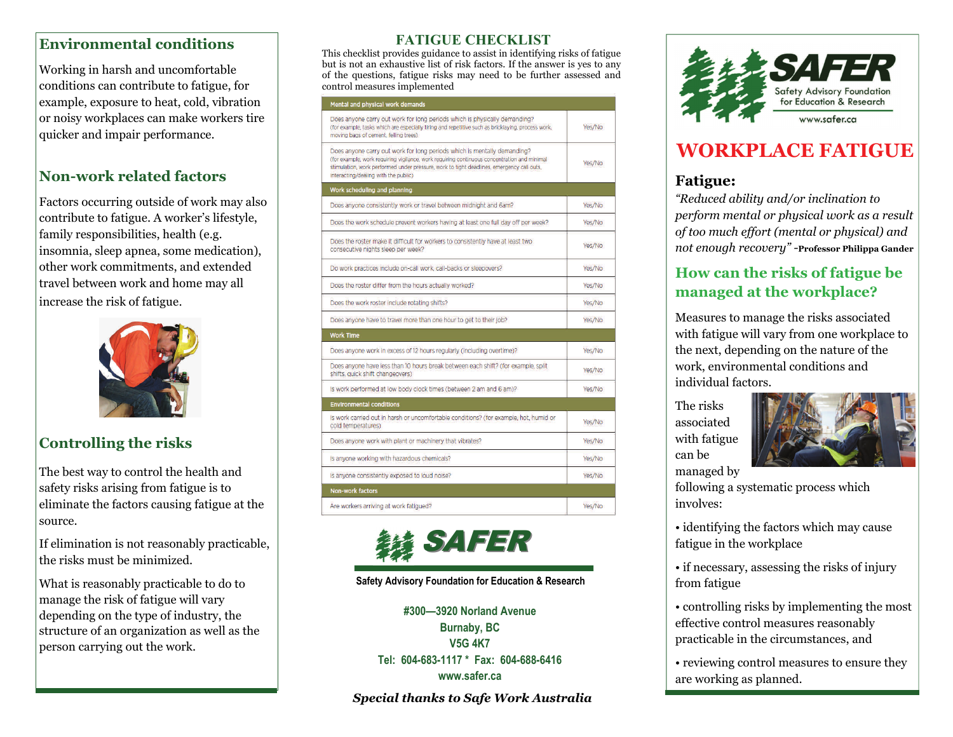### **Environmental conditions**

Working in harsh and uncomfortable conditions can contribute to fatigue, for example, exposure to heat, cold, vibration or noisy workplaces can make workers tire quicker and impair performance.

## **Non-work related factors**

Factors occurring outside of work may also contribute to fatigue. A worker's lifestyle, family responsibilities, health (e.g. insomnia, sleep apnea, some medication), other work commitments, and extended travel between work and home may all increase the risk of fatigue.



## **Controlling the risks**

The best way to control the health and safety risks arising from fatigue is to eliminate the factors causing fatigue at the source.

If elimination is not reasonably practicable, the risks must be minimized.

What is reasonably practicable to do to manage the risk of fatigue will vary depending on the type of industry, the structure of an organization as well as the person carrying out the work.

#### **FATIGUE CHECKLIST**

This checklist provides guidance to assist in identifying risks of fatigue but is not an exhaustive list of risk factors. If the answer is yes to any of the questions, fatigue risks may need to be further assessed and control measures implemented

#### Mental and physical work demands

| Does anyone carry out work for long periods which is physically demanding?<br>(for example, tasks which are especially tiring and repetitive such as bricklaying, process work,<br>moving bags of cement, felling trees)                                                                                     | Yes/No |
|--------------------------------------------------------------------------------------------------------------------------------------------------------------------------------------------------------------------------------------------------------------------------------------------------------------|--------|
| Does anyone carry out work for long periods which is mentally demanding?<br>(for example, work requiring vigilance, work requiring continuous concentration and minimal<br>stimulation, work performed under pressure, work to tight deadlines, emergency call outs.<br>interacting/dealing with the public) | Yes/No |
| Work scheduling and planning                                                                                                                                                                                                                                                                                 |        |
| Does anyone consistently work or travel between midnight and 6am?                                                                                                                                                                                                                                            | Yes/No |
| Does the work schedule prevent workers having at least one full day off per week?                                                                                                                                                                                                                            | Yes/No |
| Does the roster make it difficult for workers to consistently have at least two<br>consecutive nights sleep per week?                                                                                                                                                                                        | Yes/No |
| Do work practices include on-call work, call-backs or sleepovers?                                                                                                                                                                                                                                            | Yes/No |
| Does the roster differ from the hours actually worked?                                                                                                                                                                                                                                                       | Yes/No |
| Does the work roster include rotating shifts?                                                                                                                                                                                                                                                                | Yes/No |
| Does anyone have to travel more than one hour to get to their job?                                                                                                                                                                                                                                           | Yes/No |
| <b>Work Time</b>                                                                                                                                                                                                                                                                                             |        |
| Does anyone work in excess of 12 hours regularly (including overtime)?                                                                                                                                                                                                                                       | Yes/No |
| Does anyone have less than 10 hours break between each shift? (for example, split<br>shifts, quick shift changeovers)                                                                                                                                                                                        | Yes/No |
| Is work performed at low body clock times (between 2 am and 6 am)?                                                                                                                                                                                                                                           | Yes/No |
| <b>Environmental conditions</b>                                                                                                                                                                                                                                                                              |        |
| Is work carried out in harsh or uncomfortable conditions? (for example, hot, humid or<br>cold temperatures)                                                                                                                                                                                                  | Yes/No |
| Does anyone work with plant or machinery that vibrates?                                                                                                                                                                                                                                                      | Yes/No |
| Is anyone working with hazardous chemicals?                                                                                                                                                                                                                                                                  | Yes/No |
| Is anyone consistently exposed to loud noise?                                                                                                                                                                                                                                                                | Yes/No |
| <b>Non-work factors</b>                                                                                                                                                                                                                                                                                      |        |
| Are workers arriving at work fatigued?                                                                                                                                                                                                                                                                       | Yes/No |



**#300—3920 Norland Avenue Burnaby, BC**<br>#300—3920 Norland Avenue<br>Burnaby, BC<br>V5G 4K7<br>Tel: 604-683-1117 \* Fax: 604-688-6416<br>www.safer.ca

*Special thanks to Safe Work Australia* 



# **WORKPLACE FATIGUE**

## **Fatigue:**

*"Reduced ability and/or inclination to perform mental or physical work as a result of too much effort (mental or physical) and not enough recovery" -***Professor Philippa Gander** 

## **How can the risks of fatigue be managed at the workplace?**

Measures to manage the risks associated with fatigue will vary from one workplace to the next, depending on the nature of the work, environmental conditions and individual factors.

The risks associated with fatigue can be managed by



following a systematic process which involves:

- identifying the factors which may cause fatigue in the workplace
- if necessary, assessing the risks of injury from fatigue
- controlling risks by implementing the most effective control measures reasonably practicable in the circumstances, and

• reviewing control measures to ensure they are working as planned.